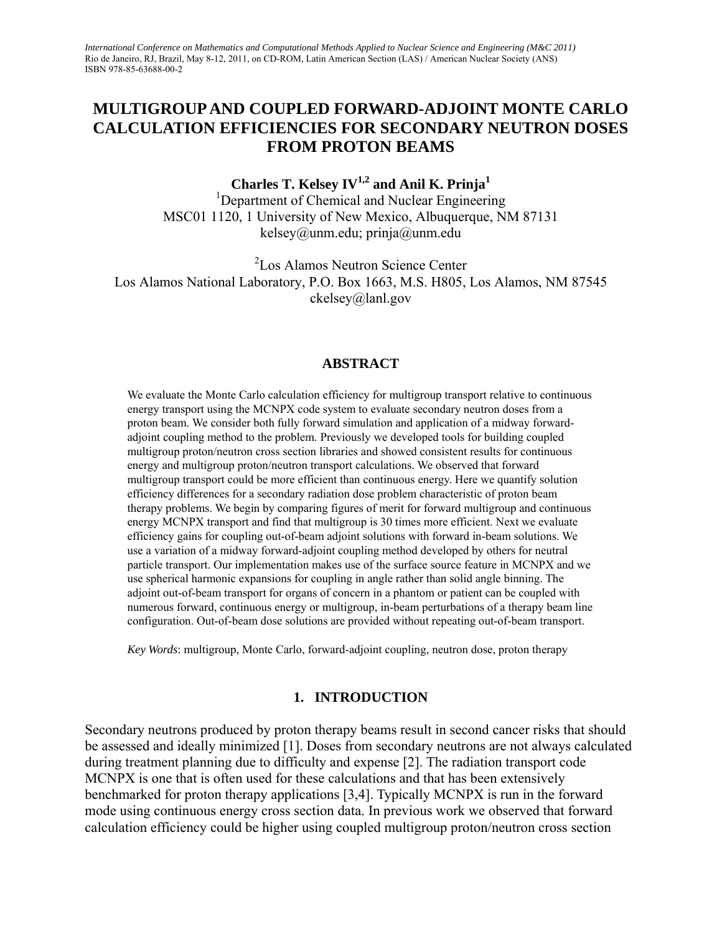# **MULTIGROUP AND COUPLED FORWARD-ADJOINT MONTE CARLO CALCULATION EFFICIENCIES FOR SECONDARY NEUTRON DOSES FROM PROTON BEAMS**

Charles T. Kelsey IV<sup>1,2</sup> and Anil K. Prinja<sup>1</sup>

<sup>1</sup>Department of Chemical and Nuclear Engineering MSC01 1120, 1 University of New Mexico, Albuquerque, NM 87131 kelsey@unm.edu; prinja@unm.edu

2 Los Alamos Neutron Science Center Los Alamos National Laboratory, P.O. Box 1663, M.S. H805, Los Alamos, NM 87545 ckelsey@lanl.gov

#### **ABSTRACT**

We evaluate the Monte Carlo calculation efficiency for multigroup transport relative to continuous energy transport using the MCNPX code system to evaluate secondary neutron doses from a proton beam. We consider both fully forward simulation and application of a midway forwardadjoint coupling method to the problem. Previously we developed tools for building coupled multigroup proton/neutron cross section libraries and showed consistent results for continuous energy and multigroup proton/neutron transport calculations. We observed that forward multigroup transport could be more efficient than continuous energy. Here we quantify solution efficiency differences for a secondary radiation dose problem characteristic of proton beam therapy problems. We begin by comparing figures of merit for forward multigroup and continuous energy MCNPX transport and find that multigroup is 30 times more efficient. Next we evaluate efficiency gains for coupling out-of-beam adjoint solutions with forward in-beam solutions. We use a variation of a midway forward-adjoint coupling method developed by others for neutral particle transport. Our implementation makes use of the surface source feature in MCNPX and we use spherical harmonic expansions for coupling in angle rather than solid angle binning. The adjoint out-of-beam transport for organs of concern in a phantom or patient can be coupled with numerous forward, continuous energy or multigroup, in-beam perturbations of a therapy beam line configuration. Out-of-beam dose solutions are provided without repeating out-of-beam transport.

*Key Words*: multigroup, Monte Carlo, forward-adjoint coupling, neutron dose, proton therapy

#### **1. INTRODUCTION**

Secondary neutrons produced by proton therapy beams result in second cancer risks that should be assessed and ideally minimized [1]. Doses from secondary neutrons are not always calculated during treatment planning due to difficulty and expense [2]. The radiation transport code MCNPX is one that is often used for these calculations and that has been extensively benchmarked for proton therapy applications [3,4]. Typically MCNPX is run in the forward mode using continuous energy cross section data. In previous work we observed that forward calculation efficiency could be higher using coupled multigroup proton/neutron cross section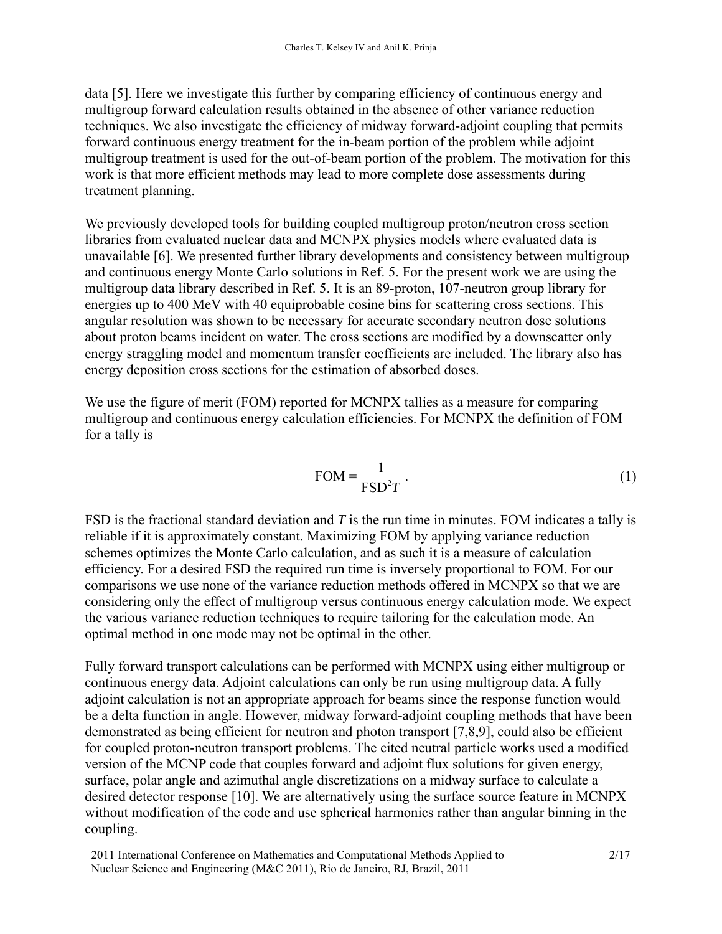data [5]. Here we investigate this further by comparing efficiency of continuous energy and multigroup forward calculation results obtained in the absence of other variance reduction techniques. We also investigate the efficiency of midway forward-adjoint coupling that permits forward continuous energy treatment for the in-beam portion of the problem while adjoint multigroup treatment is used for the out-of-beam portion of the problem. The motivation for this work is that more efficient methods may lead to more complete dose assessments during treatment planning.

We previously developed tools for building coupled multigroup proton/neutron cross section libraries from evaluated nuclear data and MCNPX physics models where evaluated data is unavailable [6]. We presented further library developments and consistency between multigroup and continuous energy Monte Carlo solutions in Ref. 5. For the present work we are using the multigroup data library described in Ref. 5. It is an 89-proton, 107-neutron group library for energies up to 400 MeV with 40 equiprobable cosine bins for scattering cross sections. This angular resolution was shown to be necessary for accurate secondary neutron dose solutions about proton beams incident on water. The cross sections are modified by a downscatter only energy straggling model and momentum transfer coefficients are included. The library also has energy deposition cross sections for the estimation of absorbed doses.

We use the figure of merit (FOM) reported for MCNPX tallies as a measure for comparing multigroup and continuous energy calculation efficiencies. For MCNPX the definition of FOM for a tally is

$$
FOM \equiv \frac{1}{FSD^2T} \,. \tag{1}
$$

FSD is the fractional standard deviation and *T* is the run time in minutes. FOM indicates a tally is reliable if it is approximately constant. Maximizing FOM by applying variance reduction schemes optimizes the Monte Carlo calculation, and as such it is a measure of calculation efficiency. For a desired FSD the required run time is inversely proportional to FOM. For our comparisons we use none of the variance reduction methods offered in MCNPX so that we are considering only the effect of multigroup versus continuous energy calculation mode. We expect the various variance reduction techniques to require tailoring for the calculation mode. An optimal method in one mode may not be optimal in the other.

Fully forward transport calculations can be performed with MCNPX using either multigroup or continuous energy data. Adjoint calculations can only be run using multigroup data. A fully adjoint calculation is not an appropriate approach for beams since the response function would be a delta function in angle. However, midway forward-adjoint coupling methods that have been demonstrated as being efficient for neutron and photon transport [7,8,9], could also be efficient for coupled proton-neutron transport problems. The cited neutral particle works used a modified version of the MCNP code that couples forward and adjoint flux solutions for given energy, surface, polar angle and azimuthal angle discretizations on a midway surface to calculate a desired detector response [10]. We are alternatively using the surface source feature in MCNPX without modification of the code and use spherical harmonics rather than angular binning in the coupling.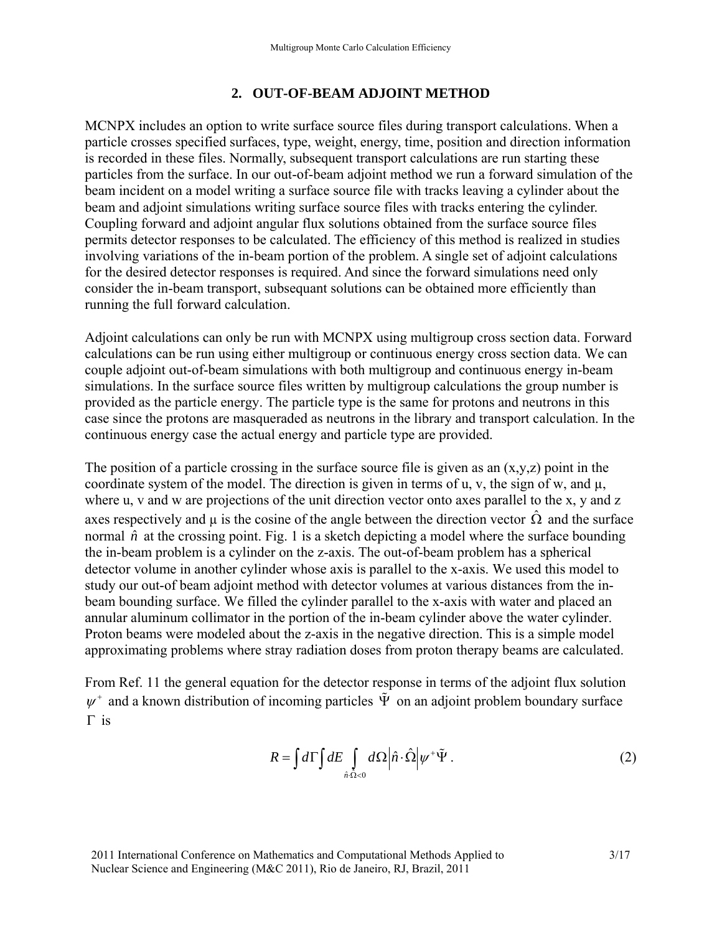### **2. OUT-OF-BEAM ADJOINT METHOD**

MCNPX includes an option to write surface source files during transport calculations. When a particle crosses specified surfaces, type, weight, energy, time, position and direction information is recorded in these files. Normally, subsequent transport calculations are run starting these particles from the surface. In our out-of-beam adjoint method we run a forward simulation of the beam incident on a model writing a surface source file with tracks leaving a cylinder about the beam and adjoint simulations writing surface source files with tracks entering the cylinder. Coupling forward and adjoint angular flux solutions obtained from the surface source files permits detector responses to be calculated. The efficiency of this method is realized in studies involving variations of the in-beam portion of the problem. A single set of adjoint calculations for the desired detector responses is required. And since the forward simulations need only consider the in-beam transport, subsequant solutions can be obtained more efficiently than running the full forward calculation.

Adjoint calculations can only be run with MCNPX using multigroup cross section data. Forward calculations can be run using either multigroup or continuous energy cross section data. We can couple adjoint out-of-beam simulations with both multigroup and continuous energy in-beam simulations. In the surface source files written by multigroup calculations the group number is provided as the particle energy. The particle type is the same for protons and neutrons in this case since the protons are masqueraded as neutrons in the library and transport calculation. In the continuous energy case the actual energy and particle type are provided.

The position of a particle crossing in the surface source file is given as an  $(x,y,z)$  point in the coordinate system of the model. The direction is given in terms of u, v, the sign of w, and  $\mu$ , where u, v and w are projections of the unit direction vector onto axes parallel to the x, y and z axes respectively and  $\mu$  is the cosine of the angle between the direction vector  $\hat{\Omega}$  and the surface normal  $\hat{n}$  at the crossing point. Fig. 1 is a sketch depicting a model where the surface bounding the in-beam problem is a cylinder on the z-axis. The out-of-beam problem has a spherical detector volume in another cylinder whose axis is parallel to the x-axis. We used this model to study our out-of beam adjoint method with detector volumes at various distances from the inbeam bounding surface. We filled the cylinder parallel to the x-axis with water and placed an annular aluminum collimator in the portion of the in-beam cylinder above the water cylinder. Proton beams were modeled about the z-axis in the negative direction. This is a simple model approximating problems where stray radiation doses from proton therapy beams are calculated.

From Ref. 11 the general equation for the detector response in terms of the adjoint flux solution  $\psi^+$  and a known distribution of incoming particles  $\tilde{\Psi}$  on an adjoint problem boundary surface  $\Gamma$  is

$$
R = \int d\Gamma \int dE \int_{\hat{n}\cdot\hat{\Omega}<0} d\Omega \left|\hat{n}\cdot\hat{\Omega}\right| \psi^* \tilde{\Psi} \,. \tag{2}
$$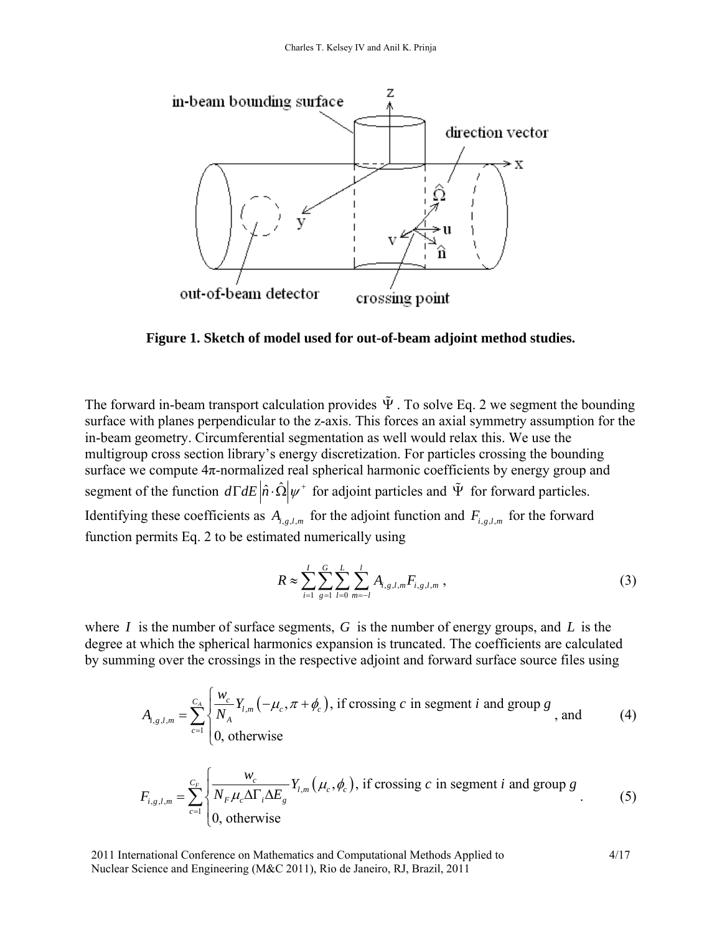

**Figure 1. Sketch of model used for out-of-beam adjoint method studies.** 

The forward in-beam transport calculation provides  $\tilde{\Psi}$ . To solve Eq. 2 we segment the bounding surface with planes perpendicular to the z-axis. This forces an axial symmetry assumption for the in-beam geometry. Circumferential segmentation as well would relax this. We use the multigroup cross section library's energy discretization. For particles crossing the bounding surface we compute  $4\pi$ -normalized real spherical harmonic coefficients by energy group and segment of the function  $d\Gamma dE \left|\hat{n} \cdot \hat{\Omega}\right| \psi^+$  for adjoint particles and  $\tilde{\Psi}$  for forward particles. Identifying these coefficients as  $A_{i,g,l,m}$  for the adjoint function and  $F_{i,g,l,m}$  for the forward function permits Eq. 2 to be estimated numerically using

$$
R \approx \sum_{i=1}^{I} \sum_{g=1}^{G} \sum_{l=0}^{L} \sum_{m=-l}^{l} A_{i,g,l,m} F_{i,g,l,m} , \qquad (3)
$$

where *I* is the number of surface segments, *G* is the number of energy groups, and *L* is the degree at which the spherical harmonics expansion is truncated. The coefficients are calculated by summing over the crossings in the respective adjoint and forward surface source files using

$$
A_{i,g,l,m} = \sum_{c=1}^{C_A} \begin{cases} \frac{W_c}{N_A} Y_{l,m}(-\mu_c, \pi + \phi_c), & \text{if crossing } c \text{ in segment } i \text{ and group } g \\ 0, & \text{otherwise} \end{cases}
$$
, and (4)

$$
F_{i,g,l,m} = \sum_{c=1}^{C_F} \begin{cases} \frac{W_c}{N_F \mu_c \Delta \Gamma_i \Delta E_g} Y_{l,m}(\mu_c, \phi_c), & \text{if crossing } c \text{ in segment } i \text{ and group } g\\ 0, & \text{otherwise} \end{cases}
$$
(5)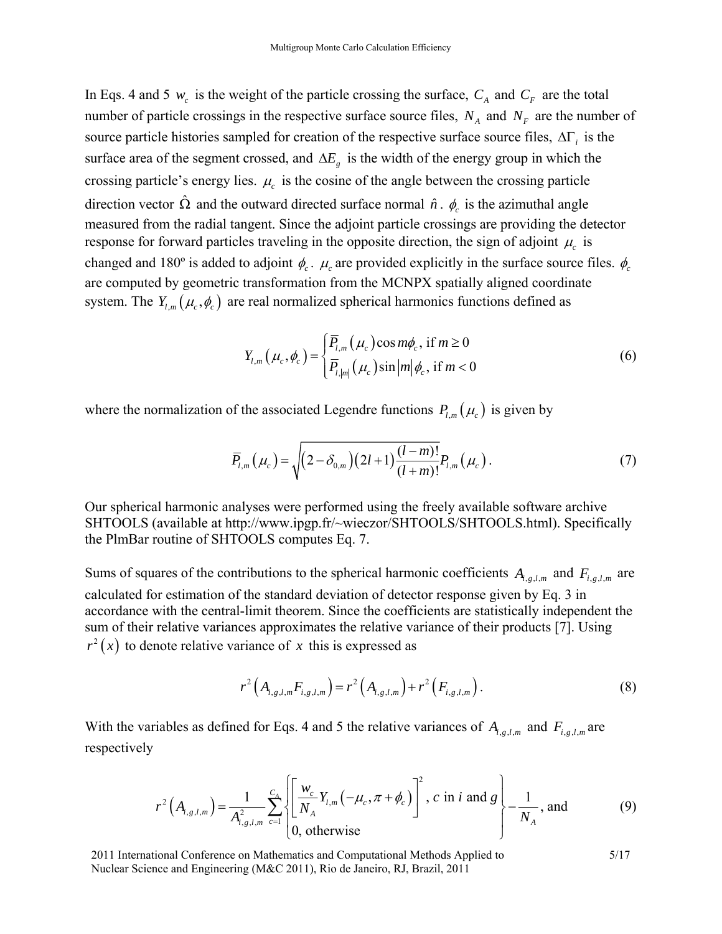In Eqs. 4 and 5  $w_c$  is the weight of the particle crossing the surface,  $C_A$  and  $C_F$  are the total number of particle crossings in the respective surface source files,  $N_A$  and  $N_F$  are the number of source particle histories sampled for creation of the respective surface source files,  $\Delta\Gamma$ , is the surface area of the segment crossed, and  $\Delta E_g$  is the width of the energy group in which the crossing particle's energy lies.  $\mu_c$  is the cosine of the angle between the crossing particle direction vector  $\hat{\Omega}$  and the outward directed surface normal  $\hat{n} \cdot \phi_c$  is the azimuthal angle measured from the radial tangent. Since the adjoint particle crossings are providing the detector response for forward particles traveling in the opposite direction, the sign of adjoint  $\mu_c$  is changed and 180<sup>°</sup> is added to adjoint  $\phi_c$ .  $\mu_c$  are provided explicitly in the surface source files.  $\phi_c$ are computed by geometric transformation from the MCNPX spatially aligned coordinate system. The  $Y_{l,m}(\mu_c, \phi_c)$  are real normalized spherical harmonics functions defined as

$$
Y_{l,m}\left(\mu_c,\phi_c\right) = \begin{cases} \overline{P}_{l,m}\left(\mu_c\right)\cos m\phi_c, & \text{if } m \ge 0\\ \overline{P}_{l,|m|}\left(\mu_c\right)\sin |m|\phi_c, & \text{if } m < 0 \end{cases}
$$
(6)

where the normalization of the associated Legendre functions  $P_{lm}(\mu_c)$  is given by

$$
\overline{P}_{l,m}\left(\mu_c\right) = \sqrt{\left(2 - \delta_{0,m}\right)\left(2l+1\right)\frac{(l-m)!}{(l+m)!}}P_{l,m}\left(\mu_c\right). \tag{7}
$$

Our spherical harmonic analyses were performed using the freely available software archive SHTOOLS (available at http://www.ipgp.fr/~wieczor/SHTOOLS/SHTOOLS.html). Specifically the PlmBar routine of SHTOOLS computes Eq. 7.

Sums of squares of the contributions to the spherical harmonic coefficients  $A_{i,g,l,m}$  and  $F_{i,g,l,m}$  are calculated for estimation of the standard deviation of detector response given by Eq. 3 in accordance with the central-limit theorem. Since the coefficients are statistically independent the sum of their relative variances approximates the relative variance of their products [7]. Using  $r^2(x)$  to denote relative variance of x this is expressed as

$$
r^{2}\left(A_{i,g,l,m}F_{i,g,l,m}\right)=r^{2}\left(A_{i,g,l,m}\right)+r^{2}\left(F_{i,g,l,m}\right).
$$
\n(8)

With the variables as defined for Eqs. 4 and 5 the relative variances of  $A_{i,g,l,m}$  and  $F_{i,g,l,m}$  are respectively

$$
r^{2}\left(A_{i,g,l,m}\right) = \frac{1}{A_{i,g,l,m}^{2}} \sum_{c=1}^{C_{A}} \left\{ \left[ \frac{w_{c}}{N_{A}} Y_{l,m} \left( -\mu_{c}, \pi + \phi_{c} \right) \right]^{2}, c \text{ in } i \text{ and } g \right\} - \frac{1}{N_{A}}, \text{ and}
$$
(9)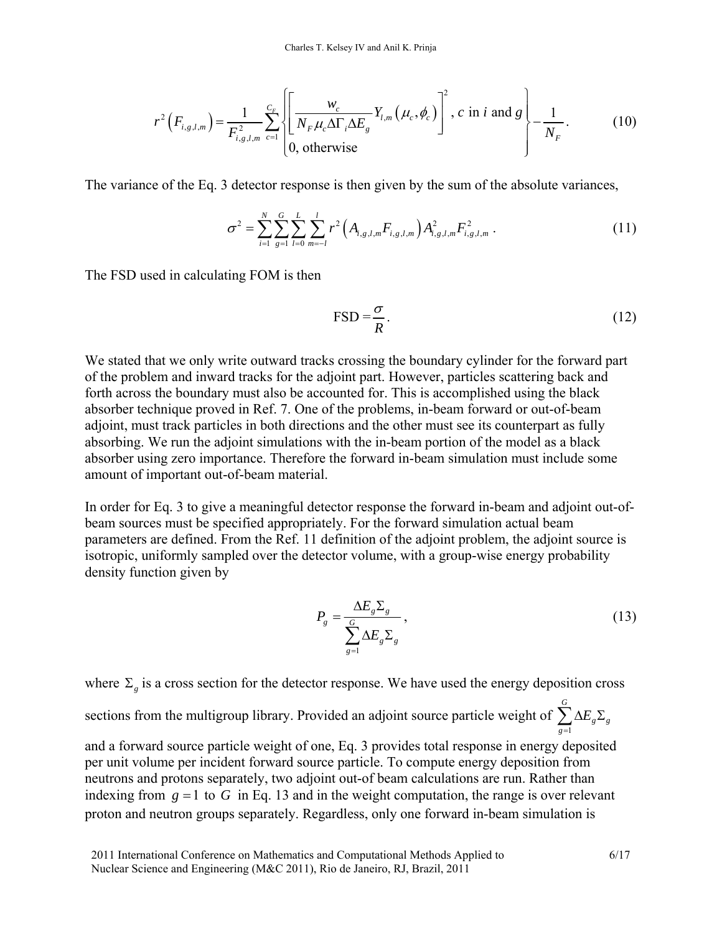$$
r^{2}\left(F_{i,g,l,m}\right) = \frac{1}{F_{i,g,l,m}^{2}} \sum_{c=1}^{C_{F}} \left\{ \left[ \frac{w_{c}}{N_{F} \mu_{c} \Delta \Gamma_{i} \Delta E_{g}} Y_{l,m}(\mu_{c}, \phi_{c}) \right]^{2}, c \text{ in } i \text{ and } g \right\} - \frac{1}{N_{F}}.
$$
 (10)

The variance of the Eq. 3 detector response is then given by the sum of the absolute variances,

$$
\sigma^2 = \sum_{i=1}^N \sum_{g=1}^G \sum_{l=0}^L \sum_{m=-l}^l r^2 \left( A_{i,g,l,m} F_{i,g,l,m} \right) A_{i,g,l,m}^2 F_{i,g,l,m}^2 \,. \tag{11}
$$

The FSD used in calculating FOM is then

$$
\text{FSD} = \frac{\sigma}{R} \tag{12}
$$

We stated that we only write outward tracks crossing the boundary cylinder for the forward part of the problem and inward tracks for the adjoint part. However, particles scattering back and forth across the boundary must also be accounted for. This is accomplished using the black absorber technique proved in Ref. 7. One of the problems, in-beam forward or out-of-beam adjoint, must track particles in both directions and the other must see its counterpart as fully absorbing. We run the adjoint simulations with the in-beam portion of the model as a black absorber using zero importance. Therefore the forward in-beam simulation must include some amount of important out-of-beam material.

In order for Eq. 3 to give a meaningful detector response the forward in-beam and adjoint out-ofbeam sources must be specified appropriately. For the forward simulation actual beam parameters are defined. From the Ref. 11 definition of the adjoint problem, the adjoint source is isotropic, uniformly sampled over the detector volume, with a group-wise energy probability density function given by

$$
P_g = \frac{\Delta E_g \Sigma_g}{\sum_{g=1}^G \Delta E_g \Sigma_g},\tag{13}
$$

where  $\Sigma$ <sub>*c*</sub> is a cross section for the detector response. We have used the energy deposition cross

sections from the multigroup library. Provided an adjoint source particle weight of 1 *G*  $g \rightarrow g$ *g E*  $\sum_{g=1}^{\infty} \Delta E_{g} \Sigma$ 

and a forward source particle weight of one, Eq. 3 provides total response in energy deposited per unit volume per incident forward source particle. To compute energy deposition from neutrons and protons separately, two adjoint out-of beam calculations are run. Rather than indexing from  $g = 1$  to  $G$  in Eq. 13 and in the weight computation, the range is over relevant proton and neutron groups separately. Regardless, only one forward in-beam simulation is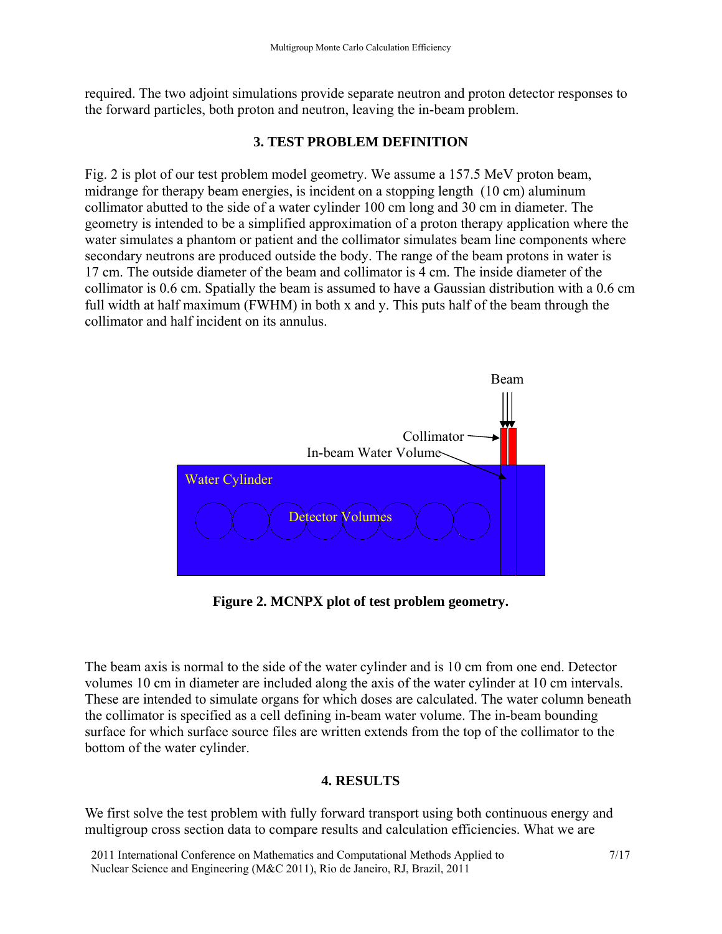required. The two adjoint simulations provide separate neutron and proton detector responses to the forward particles, both proton and neutron, leaving the in-beam problem.

### **3. TEST PROBLEM DEFINITION**

Fig. 2 is plot of our test problem model geometry. We assume a 157.5 MeV proton beam, midrange for therapy beam energies, is incident on a stopping length (10 cm) aluminum collimator abutted to the side of a water cylinder 100 cm long and 30 cm in diameter. The geometry is intended to be a simplified approximation of a proton therapy application where the water simulates a phantom or patient and the collimator simulates beam line components where secondary neutrons are produced outside the body. The range of the beam protons in water is 17 cm. The outside diameter of the beam and collimator is 4 cm. The inside diameter of the collimator is 0.6 cm. Spatially the beam is assumed to have a Gaussian distribution with a 0.6 cm full width at half maximum (FWHM) in both x and y. This puts half of the beam through the collimator and half incident on its annulus.



**Figure 2. MCNPX plot of test problem geometry.** 

The beam axis is normal to the side of the water cylinder and is 10 cm from one end. Detector volumes 10 cm in diameter are included along the axis of the water cylinder at 10 cm intervals. These are intended to simulate organs for which doses are calculated. The water column beneath the collimator is specified as a cell defining in-beam water volume. The in-beam bounding surface for which surface source files are written extends from the top of the collimator to the bottom of the water cylinder.

### **4. RESULTS**

We first solve the test problem with fully forward transport using both continuous energy and multigroup cross section data to compare results and calculation efficiencies. What we are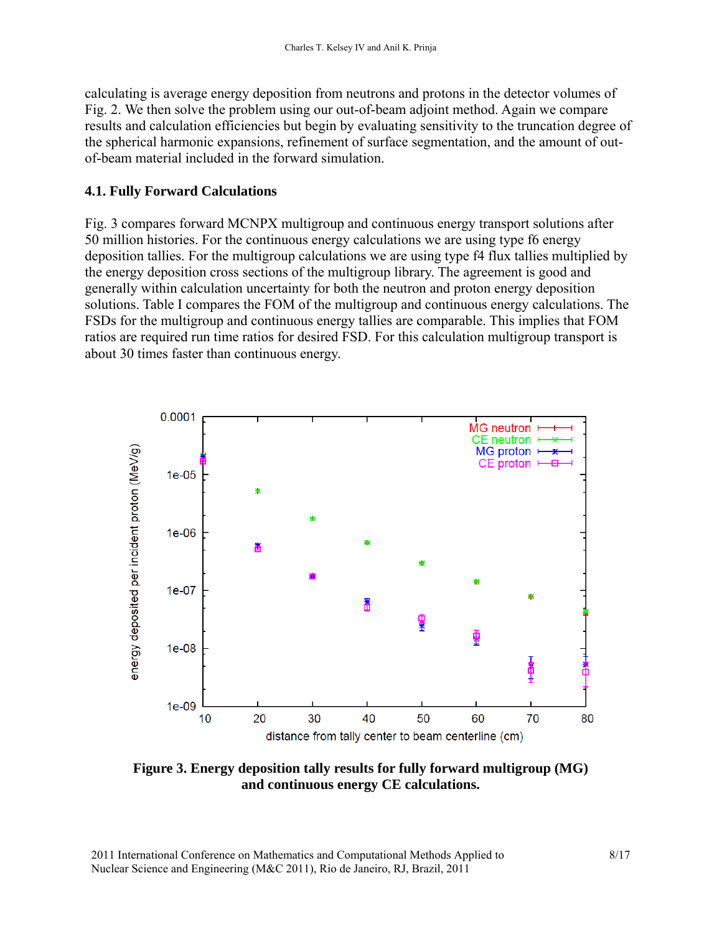calculating is average energy deposition from neutrons and protons in the detector volumes of Fig. 2. We then solve the problem using our out-of-beam adjoint method. Again we compare results and calculation efficiencies but begin by evaluating sensitivity to the truncation degree of the spherical harmonic expansions, refinement of surface segmentation, and the amount of outof-beam material included in the forward simulation.

### **4.1. Fully Forward Calculations**

Fig. 3 compares forward MCNPX multigroup and continuous energy transport solutions after 50 million histories. For the continuous energy calculations we are using type f6 energy deposition tallies. For the multigroup calculations we are using type f4 flux tallies multiplied by the energy deposition cross sections of the multigroup library. The agreement is good and generally within calculation uncertainty for both the neutron and proton energy deposition solutions. Table I compares the FOM of the multigroup and continuous energy calculations. The FSDs for the multigroup and continuous energy tallies are comparable. This implies that FOM ratios are required run time ratios for desired FSD. For this calculation multigroup transport is about 30 times faster than continuous energy.



**Figure 3. Energy deposition tally results for fully forward multigroup (MG) and continuous energy CE calculations.**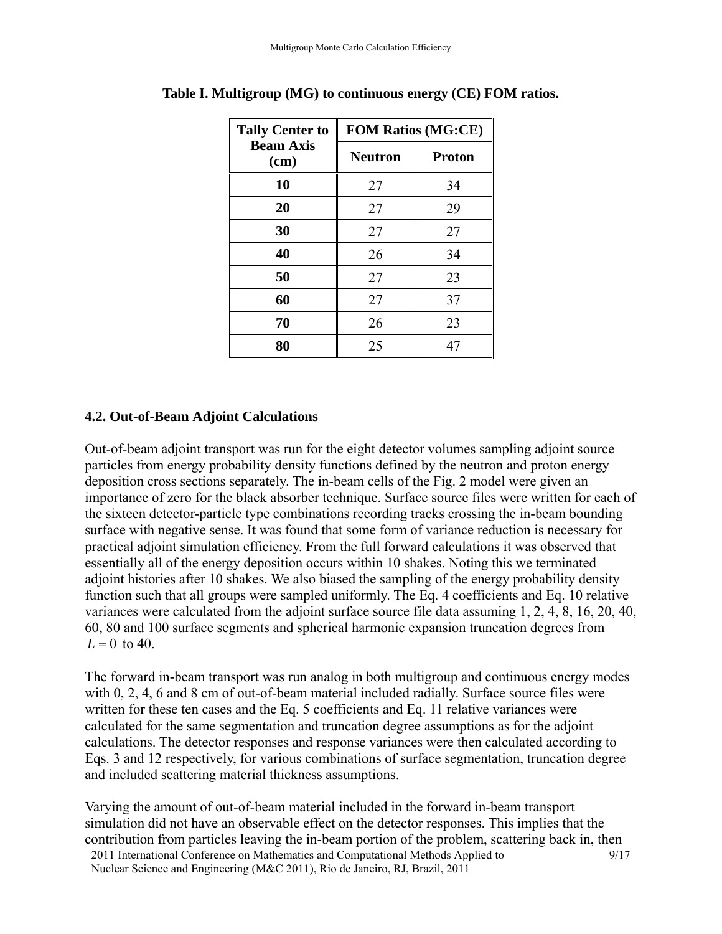| <b>Tally Center to</b>   | <b>FOM Ratios (MG:CE)</b> |               |  |
|--------------------------|---------------------------|---------------|--|
| <b>Beam Axis</b><br>(cm) | <b>Neutron</b>            | <b>Proton</b> |  |
| 10                       | 27                        | 34            |  |
| 20                       | 27                        | 29            |  |
| 30                       | 27                        | 27            |  |
| 40                       | 26                        | 34            |  |
| 50                       | 27                        | 23            |  |
| 60                       | 27                        | 37            |  |
| 70                       | 26                        | 23            |  |
| 80                       | 25                        | 47            |  |

# **4.2. Out-of-Beam Adjoint Calculations**

Out-of-beam adjoint transport was run for the eight detector volumes sampling adjoint source particles from energy probability density functions defined by the neutron and proton energy deposition cross sections separately. The in-beam cells of the Fig. 2 model were given an importance of zero for the black absorber technique. Surface source files were written for each of the sixteen detector-particle type combinations recording tracks crossing the in-beam bounding surface with negative sense. It was found that some form of variance reduction is necessary for practical adjoint simulation efficiency. From the full forward calculations it was observed that essentially all of the energy deposition occurs within 10 shakes. Noting this we terminated adjoint histories after 10 shakes. We also biased the sampling of the energy probability density function such that all groups were sampled uniformly. The Eq. 4 coefficients and Eq. 10 relative variances were calculated from the adjoint surface source file data assuming 1, 2, 4, 8, 16, 20, 40, 60, 80 and 100 surface segments and spherical harmonic expansion truncation degrees from  $L = 0$  to 40.

The forward in-beam transport was run analog in both multigroup and continuous energy modes with 0, 2, 4, 6 and 8 cm of out-of-beam material included radially. Surface source files were written for these ten cases and the Eq. 5 coefficients and Eq. 11 relative variances were calculated for the same segmentation and truncation degree assumptions as for the adjoint calculations. The detector responses and response variances were then calculated according to Eqs. 3 and 12 respectively, for various combinations of surface segmentation, truncation degree and included scattering material thickness assumptions.

2011 International Conference on Mathematics and Computational Methods Applied to Nuclear Science and Engineering (M&C 2011), Rio de Janeiro, RJ, Brazil, 2011 9/17 Varying the amount of out-of-beam material included in the forward in-beam transport simulation did not have an observable effect on the detector responses. This implies that the contribution from particles leaving the in-beam portion of the problem, scattering back in, then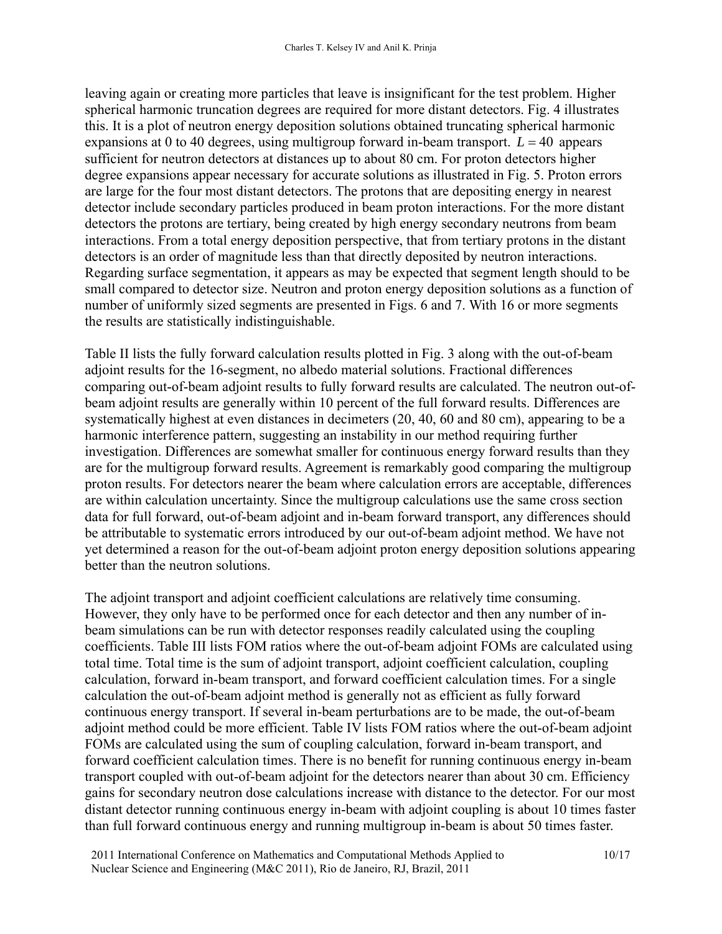leaving again or creating more particles that leave is insignificant for the test problem. Higher spherical harmonic truncation degrees are required for more distant detectors. Fig. 4 illustrates this. It is a plot of neutron energy deposition solutions obtained truncating spherical harmonic expansions at 0 to 40 degrees, using multigroup forward in-beam transport.  $L = 40$  appears sufficient for neutron detectors at distances up to about 80 cm. For proton detectors higher degree expansions appear necessary for accurate solutions as illustrated in Fig. 5. Proton errors are large for the four most distant detectors. The protons that are depositing energy in nearest detector include secondary particles produced in beam proton interactions. For the more distant detectors the protons are tertiary, being created by high energy secondary neutrons from beam interactions. From a total energy deposition perspective, that from tertiary protons in the distant detectors is an order of magnitude less than that directly deposited by neutron interactions. Regarding surface segmentation, it appears as may be expected that segment length should to be small compared to detector size. Neutron and proton energy deposition solutions as a function of number of uniformly sized segments are presented in Figs. 6 and 7. With 16 or more segments the results are statistically indistinguishable.

Table II lists the fully forward calculation results plotted in Fig. 3 along with the out-of-beam adjoint results for the 16-segment, no albedo material solutions. Fractional differences comparing out-of-beam adjoint results to fully forward results are calculated. The neutron out-ofbeam adjoint results are generally within 10 percent of the full forward results. Differences are systematically highest at even distances in decimeters (20, 40, 60 and 80 cm), appearing to be a harmonic interference pattern, suggesting an instability in our method requiring further investigation. Differences are somewhat smaller for continuous energy forward results than they are for the multigroup forward results. Agreement is remarkably good comparing the multigroup proton results. For detectors nearer the beam where calculation errors are acceptable, differences are within calculation uncertainty. Since the multigroup calculations use the same cross section data for full forward, out-of-beam adjoint and in-beam forward transport, any differences should be attributable to systematic errors introduced by our out-of-beam adjoint method. We have not yet determined a reason for the out-of-beam adjoint proton energy deposition solutions appearing better than the neutron solutions.

The adjoint transport and adjoint coefficient calculations are relatively time consuming. However, they only have to be performed once for each detector and then any number of inbeam simulations can be run with detector responses readily calculated using the coupling coefficients. Table III lists FOM ratios where the out-of-beam adjoint FOMs are calculated using total time. Total time is the sum of adjoint transport, adjoint coefficient calculation, coupling calculation, forward in-beam transport, and forward coefficient calculation times. For a single calculation the out-of-beam adjoint method is generally not as efficient as fully forward continuous energy transport. If several in-beam perturbations are to be made, the out-of-beam adjoint method could be more efficient. Table IV lists FOM ratios where the out-of-beam adjoint FOMs are calculated using the sum of coupling calculation, forward in-beam transport, and forward coefficient calculation times. There is no benefit for running continuous energy in-beam transport coupled with out-of-beam adjoint for the detectors nearer than about 30 cm. Efficiency gains for secondary neutron dose calculations increase with distance to the detector. For our most distant detector running continuous energy in-beam with adjoint coupling is about 10 times faster than full forward continuous energy and running multigroup in-beam is about 50 times faster.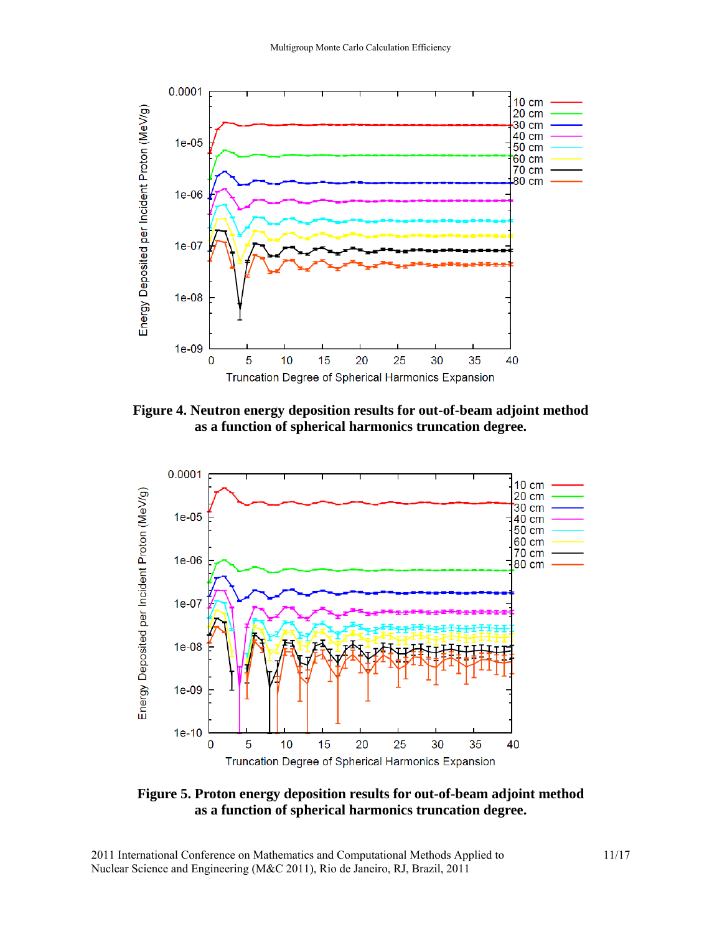

**Figure 4. Neutron energy deposition results for out-of-beam adjoint method as a function of spherical harmonics truncation degree.**



**Figure 5. Proton energy deposition results for out-of-beam adjoint method as a function of spherical harmonics truncation degree.**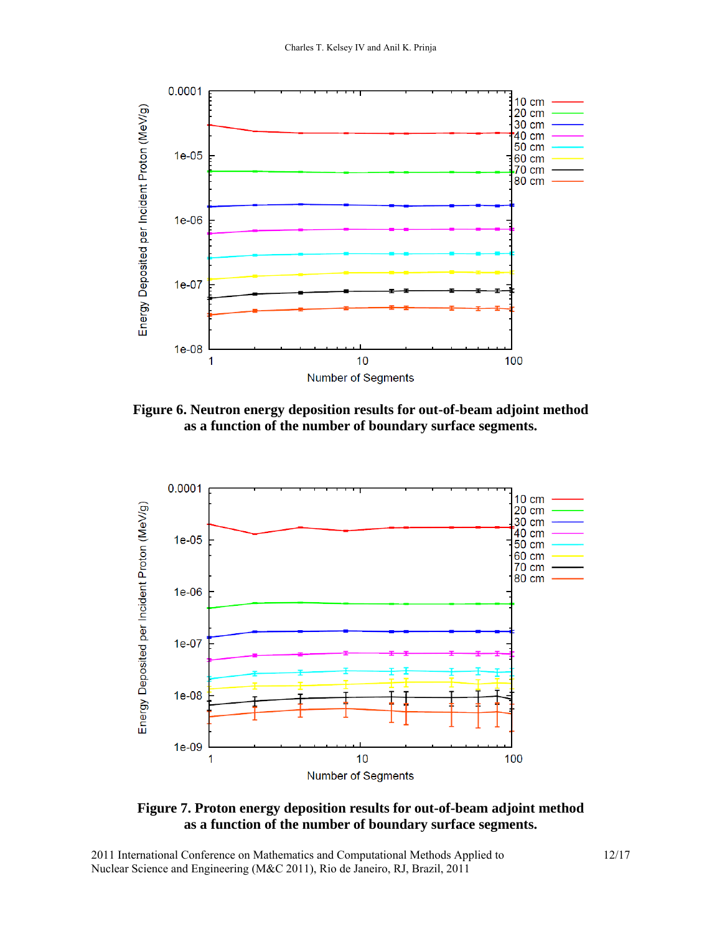

**Figure 6. Neutron energy deposition results for out-of-beam adjoint method as a function of the number of boundary surface segments.** 



**Figure 7. Proton energy deposition results for out-of-beam adjoint method as a function of the number of boundary surface segments.**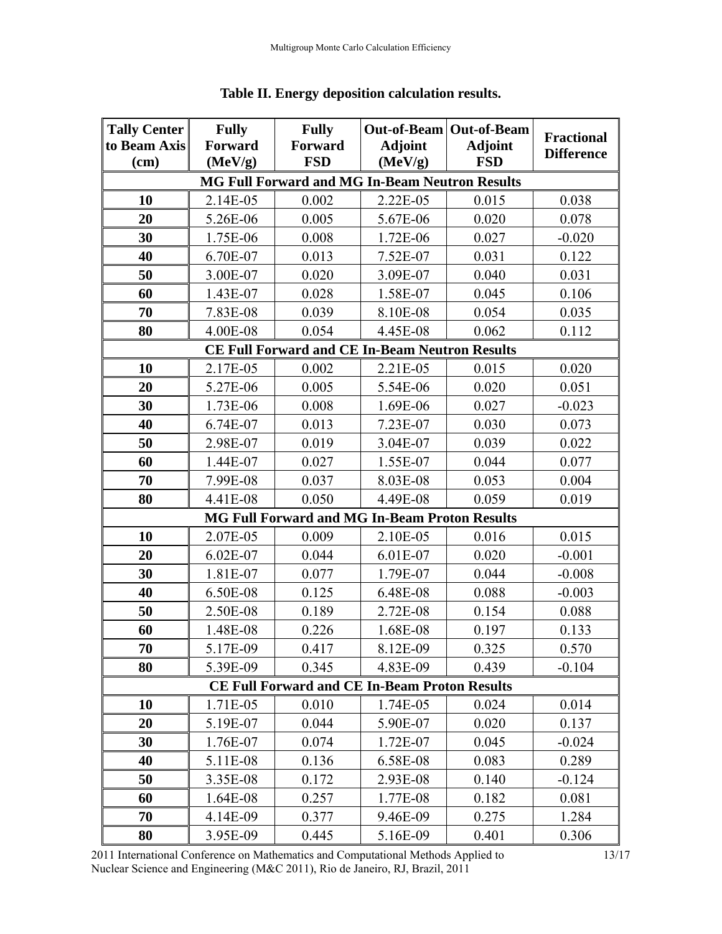| <b>Tally Center</b>                                  | <b>Fully</b> | <b>Fully</b> | Out-of-Beam Out-of-Beam                               |                | <b>Fractional</b> |
|------------------------------------------------------|--------------|--------------|-------------------------------------------------------|----------------|-------------------|
| to Beam Axis                                         | Forward      | Forward      | <b>Adjoint</b>                                        | <b>Adjoint</b> | <b>Difference</b> |
| (cm)                                                 | (MeV/g)      | <b>FSD</b>   | (MeV/g)                                               | <b>FSD</b>     |                   |
|                                                      |              |              | <b>MG Full Forward and MG In-Beam Neutron Results</b> |                |                   |
| 10                                                   | 2.14E-05     | 0.002        | 2.22E-05                                              | 0.015          | 0.038             |
| 20                                                   | 5.26E-06     | 0.005        | 5.67E-06                                              | 0.020          | 0.078             |
| 30                                                   | 1.75E-06     | 0.008        | 1.72E-06                                              | 0.027          | $-0.020$          |
| 40                                                   | 6.70E-07     | 0.013        | 7.52E-07                                              | 0.031          | 0.122             |
| 50                                                   | 3.00E-07     | 0.020        | 3.09E-07                                              | 0.040          | 0.031             |
| 60                                                   | 1.43E-07     | 0.028        | 1.58E-07                                              | 0.045          | 0.106             |
| 70                                                   | 7.83E-08     | 0.039        | 8.10E-08                                              | 0.054          | 0.035             |
| 80                                                   | 4.00E-08     | 0.054        | 4.45E-08                                              | 0.062          | 0.112             |
|                                                      |              |              | <b>CE Full Forward and CE In-Beam Neutron Results</b> |                |                   |
| 10                                                   | 2.17E-05     | 0.002        | 2.21E-05                                              | 0.015          | 0.020             |
| 20                                                   | 5.27E-06     | 0.005        | 5.54E-06                                              | 0.020          | 0.051             |
| 30                                                   | 1.73E-06     | 0.008        | 1.69E-06                                              | 0.027          | $-0.023$          |
| 40                                                   | 6.74E-07     | 0.013        | 7.23E-07                                              | 0.030          | 0.073             |
| 50                                                   | 2.98E-07     | 0.019        | 3.04E-07                                              | 0.039          | 0.022             |
| 60                                                   | 1.44E-07     | 0.027        | 1.55E-07                                              | 0.044          | 0.077             |
| 70                                                   | 7.99E-08     | 0.037        | 8.03E-08                                              | 0.053          | 0.004             |
| 80                                                   | 4.41E-08     | 0.050        | 4.49E-08                                              | 0.059          | 0.019             |
|                                                      |              |              | <b>MG Full Forward and MG In-Beam Proton Results</b>  |                |                   |
| 10                                                   | 2.07E-05     | 0.009        | 2.10E-05                                              | 0.016          | 0.015             |
| 20                                                   | 6.02E-07     | 0.044        | 6.01E-07                                              | 0.020          | $-0.001$          |
| 30                                                   | 1.81E-07     | 0.077        | 1.79E-07                                              | 0.044          | $-0.008$          |
| 40                                                   | 6.50E-08     | 0.125        | 6.48E-08                                              | 0.088          | $-0.003$          |
| 50                                                   | 2.50E-08     | 0.189        | 2.72E-08                                              | 0.154          | 0.088             |
| 60                                                   | 1.48E-08     | 0.226        | 1.68E-08                                              | 0.197          | 0.133             |
| 70                                                   | 5.17E-09     | 0.417        | 8.12E-09                                              | 0.325          | 0.570             |
| 80                                                   | 5.39E-09     | 0.345        | 4.83E-09                                              | 0.439          | $-0.104$          |
| <b>CE Full Forward and CE In-Beam Proton Results</b> |              |              |                                                       |                |                   |
| 10                                                   | 1.71E-05     | 0.010        | 1.74E-05                                              | 0.024          | 0.014             |
| 20                                                   | 5.19E-07     | 0.044        | 5.90E-07                                              | 0.020          | 0.137             |
| 30                                                   | 1.76E-07     | 0.074        | 1.72E-07                                              | 0.045          | $-0.024$          |
| 40                                                   | 5.11E-08     | 0.136        | 6.58E-08                                              | 0.083          | 0.289             |
| 50                                                   | 3.35E-08     | 0.172        | 2.93E-08                                              | 0.140          | $-0.124$          |
| 60                                                   | 1.64E-08     | 0.257        | 1.77E-08                                              | 0.182          | 0.081             |
| 70                                                   | 4.14E-09     | 0.377        | 9.46E-09                                              | 0.275          | 1.284             |
| 80                                                   | 3.95E-09     | 0.445        | 5.16E-09                                              | 0.401          | 0.306             |

## **Table II. Energy deposition calculation results.**

2011 International Conference on Mathematics and Computational Methods Applied to Nuclear Science and Engineering (M&C 2011), Rio de Janeiro, RJ, Brazil, 2011

13/17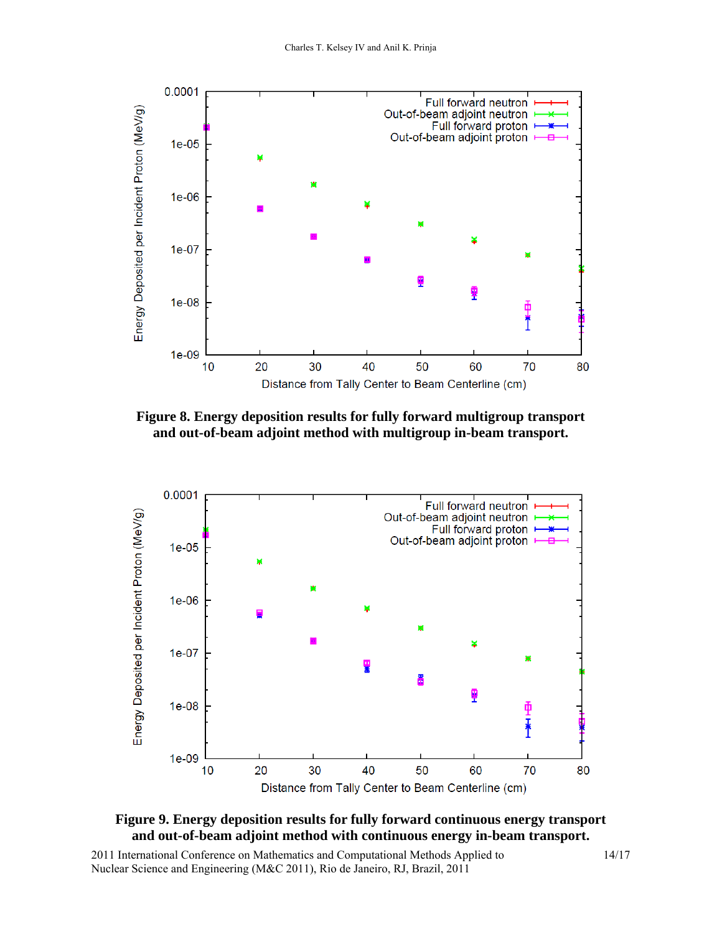

**Figure 8. Energy deposition results for fully forward multigroup transport and out-of-beam adjoint method with multigroup in-beam transport.** 



### **Figure 9. Energy deposition results for fully forward continuous energy transport and out-of-beam adjoint method with continuous energy in-beam transport.**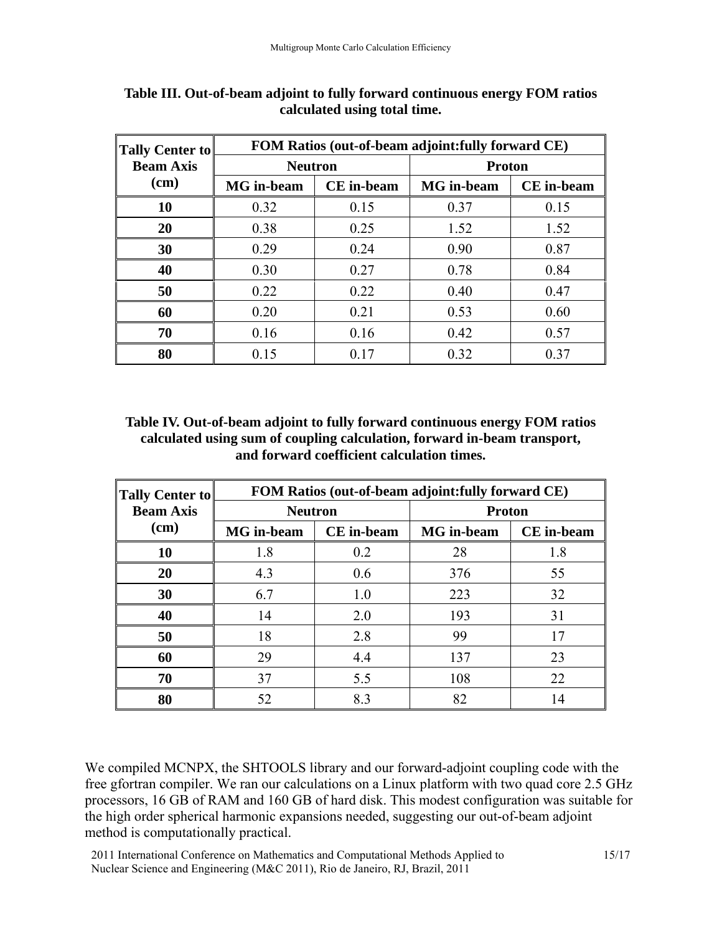| Tally Center to          | FOM Ratios (out-of-beam adjoint: fully forward CE) |                   |                   |                   |
|--------------------------|----------------------------------------------------|-------------------|-------------------|-------------------|
| <b>Beam Axis</b><br>(cm) | <b>Neutron</b>                                     |                   | <b>Proton</b>     |                   |
|                          | <b>MG</b> in-beam                                  | <b>CE</b> in-beam | <b>MG</b> in-beam | <b>CE</b> in-beam |
| <b>10</b>                | 0.32                                               | 0.15              | 0.37              | 0.15              |
| 20                       | 0.38                                               | 0.25              | 1.52              | 1.52              |
| 30                       | 0.29                                               | 0.24              | 0.90              | 0.87              |
| 40                       | 0.30                                               | 0.27              | 0.78              | 0.84              |
| 50                       | 0.22                                               | 0.22              | 0.40              | 0.47              |
| 60                       | 0.20                                               | 0.21              | 0.53              | 0.60              |
| 70                       | 0.16                                               | 0.16              | 0.42              | 0.57              |
| 80                       | 0.15                                               | 0.17              | 0.32              | 0.37              |

**Table III. Out-of-beam adjoint to fully forward continuous energy FOM ratios calculated using total time.** 

### **Table IV. Out-of-beam adjoint to fully forward continuous energy FOM ratios calculated using sum of coupling calculation, forward in-beam transport, and forward coefficient calculation times.**

| <b>Tally Center to</b>   | FOM Ratios (out-of-beam adjoint: fully forward CE) |                   |                   |                   |  |
|--------------------------|----------------------------------------------------|-------------------|-------------------|-------------------|--|
| <b>Beam Axis</b><br>(cm) | <b>Neutron</b>                                     |                   | <b>Proton</b>     |                   |  |
|                          | <b>MG</b> in-beam                                  | <b>CE</b> in-beam | <b>MG</b> in-beam | <b>CE</b> in-beam |  |
| 10                       | 1.8                                                | 0.2               | 28                | 1.8               |  |
| 20                       | 4.3                                                | 0.6               | 376               | 55                |  |
| 30                       | 6.7                                                | 1.0               | 223               | 32                |  |
| 40                       | 14                                                 | 2.0               | 193               | 31                |  |
| 50                       | 18                                                 | 2.8               | 99                | 17                |  |
| 60                       | 29                                                 | 4.4               | 137               | 23                |  |
| 70                       | 37                                                 | 5.5               | 108               | 22                |  |
| 80                       | 52                                                 | 8.3               | 82                | 14                |  |

We compiled MCNPX, the SHTOOLS library and our forward-adjoint coupling code with the free gfortran compiler. We ran our calculations on a Linux platform with two quad core 2.5 GHz processors, 16 GB of RAM and 160 GB of hard disk. This modest configuration was suitable for the high order spherical harmonic expansions needed, suggesting our out-of-beam adjoint method is computationally practical.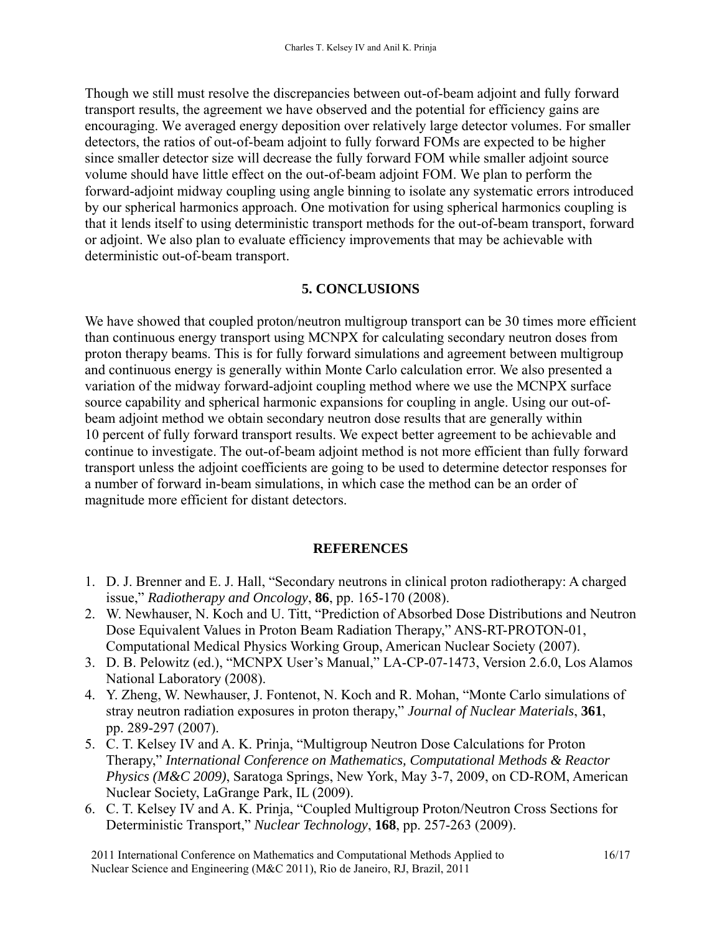Though we still must resolve the discrepancies between out-of-beam adjoint and fully forward transport results, the agreement we have observed and the potential for efficiency gains are encouraging. We averaged energy deposition over relatively large detector volumes. For smaller detectors, the ratios of out-of-beam adjoint to fully forward FOMs are expected to be higher since smaller detector size will decrease the fully forward FOM while smaller adjoint source volume should have little effect on the out-of-beam adjoint FOM. We plan to perform the forward-adjoint midway coupling using angle binning to isolate any systematic errors introduced by our spherical harmonics approach. One motivation for using spherical harmonics coupling is that it lends itself to using deterministic transport methods for the out-of-beam transport, forward or adjoint. We also plan to evaluate efficiency improvements that may be achievable with deterministic out-of-beam transport.

### **5. CONCLUSIONS**

We have showed that coupled proton/neutron multigroup transport can be 30 times more efficient than continuous energy transport using MCNPX for calculating secondary neutron doses from proton therapy beams. This is for fully forward simulations and agreement between multigroup and continuous energy is generally within Monte Carlo calculation error. We also presented a variation of the midway forward-adjoint coupling method where we use the MCNPX surface source capability and spherical harmonic expansions for coupling in angle. Using our out-ofbeam adjoint method we obtain secondary neutron dose results that are generally within 10 percent of fully forward transport results. We expect better agreement to be achievable and continue to investigate. The out-of-beam adjoint method is not more efficient than fully forward transport unless the adjoint coefficients are going to be used to determine detector responses for a number of forward in-beam simulations, in which case the method can be an order of magnitude more efficient for distant detectors.

### **REFERENCES**

- 1. D. J. Brenner and E. J. Hall, "Secondary neutrons in clinical proton radiotherapy: A charged issue," *Radiotherapy and Oncology*, **86**, pp. 165-170 (2008).
- 2. W. Newhauser, N. Koch and U. Titt, "Prediction of Absorbed Dose Distributions and Neutron Dose Equivalent Values in Proton Beam Radiation Therapy," ANS-RT-PROTON-01, Computational Medical Physics Working Group, American Nuclear Society (2007).
- 3. D. B. Pelowitz (ed.), "MCNPX User's Manual," LA-CP-07-1473, Version 2.6.0, Los Alamos National Laboratory (2008).
- 4. Y. Zheng, W. Newhauser, J. Fontenot, N. Koch and R. Mohan, "Monte Carlo simulations of stray neutron radiation exposures in proton therapy," *Journal of Nuclear Materials*, **361**, pp. 289-297 (2007).
- 5. C. T. Kelsey IV and A. K. Prinja, "Multigroup Neutron Dose Calculations for Proton Therapy," *International Conference on Mathematics, Computational Methods & Reactor Physics (M&C 2009)*, Saratoga Springs, New York, May 3-7, 2009, on CD-ROM, American Nuclear Society, LaGrange Park, IL (2009).
- 6. C. T. Kelsey IV and A. K. Prinja, "Coupled Multigroup Proton/Neutron Cross Sections for Deterministic Transport," *Nuclear Technology*, **168**, pp. 257-263 (2009).